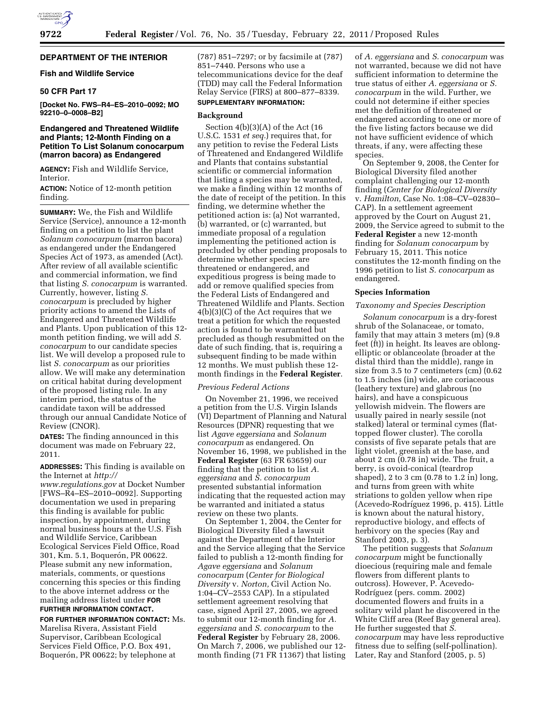# **DEPARTMENT OF THE INTERIOR**

### **Fish and Wildlife Service**

# **50 CFR Part 17**

**[Docket No. FWS–R4–ES–2010–0092; MO 92210–0–0008–B2]** 

# **Endangered and Threatened Wildlife and Plants; 12-Month Finding on a Petition To List Solanum conocarpum (marron bacora) as Endangered**

**AGENCY:** Fish and Wildlife Service, Interior.

**ACTION:** Notice of 12-month petition finding.

**SUMMARY:** We, the Fish and Wildlife Service (Service), announce a 12-month finding on a petition to list the plant *Solanum conocarpum* (marron bacora) as endangered under the Endangered Species Act of 1973, as amended (Act). After review of all available scientific and commercial information, we find that listing *S. conocarpum* is warranted. Currently, however, listing *S. conocarpum* is precluded by higher priority actions to amend the Lists of Endangered and Threatened Wildlife and Plants. Upon publication of this 12 month petition finding, we will add *S. conocarpum* to our candidate species list. We will develop a proposed rule to list *S. conocarpum* as our priorities allow. We will make any determination on critical habitat during development of the proposed listing rule. In any interim period, the status of the candidate taxon will be addressed through our annual Candidate Notice of Review (CNOR).

**DATES:** The finding announced in this document was made on February 22, 2011.

**ADDRESSES:** This finding is available on the Internet at *[http://](http://www.regulations.gov)* 

*[www.regulations.gov](http://www.regulations.gov)* at Docket Number [FWS–R4–ES–2010–0092]. Supporting documentation we used in preparing this finding is available for public inspection, by appointment, during normal business hours at the U.S. Fish and Wildlife Service, Caribbean Ecological Services Field Office, Road 301, Km. 5.1, Boquerón, PR 00622. Please submit any new information, materials, comments, or questions concerning this species or this finding to the above internet address or the mailing address listed under **FOR FURTHER INFORMATION CONTACT.** 

**FOR FURTHER INFORMATION CONTACT:** Ms. Marelisa Rivera, Assistant Field Supervisor, Caribbean Ecological Services Field Office, P.O. Box 491, Boquerón, PR 00622; by telephone at

(787) 851–7297; or by facsimile at (787) 851–7440. Persons who use a telecommunications device for the deaf (TDD) may call the Federal Information Relay Service (FIRS) at 800–877–8339.

# **SUPPLEMENTARY INFORMATION:**

# **Background**

Section 4(b)(3)(A) of the Act (16 U.S.C. 1531 *et seq.*) requires that, for any petition to revise the Federal Lists of Threatened and Endangered Wildlife and Plants that contains substantial scientific or commercial information that listing a species may be warranted, we make a finding within 12 months of the date of receipt of the petition. In this finding, we determine whether the petitioned action is: (a) Not warranted, (b) warranted, or (c) warranted, but immediate proposal of a regulation implementing the petitioned action is precluded by other pending proposals to determine whether species are threatened or endangered, and expeditious progress is being made to add or remove qualified species from the Federal Lists of Endangered and Threatened Wildlife and Plants. Section 4(b)(3)(C) of the Act requires that we treat a petition for which the requested action is found to be warranted but precluded as though resubmitted on the date of such finding, that is, requiring a subsequent finding to be made within 12 months. We must publish these 12 month findings in the **Federal Register**.

### *Previous Federal Actions*

On November 21, 1996, we received a petition from the U.S. Virgin Islands (VI) Department of Planning and Natural Resources (DPNR) requesting that we list *Agave eggersiana* and *Solanum conocarpum* as endangered. On November 16, 1998*,* we published in the **Federal Register** (63 FR 63659) our finding that the petition to list *A. eggersiana* and *S. conocarpum*  presented substantial information indicating that the requested action may be warranted and initiated a status review on these two plants.

On September 1, 2004, the Center for Biological Diversity filed a lawsuit against the Department of the Interior and the Service alleging that the Service failed to publish a 12-month finding for *Agave eggersiana* and *Solanum conocarpum* (*Center for Biological Diversity* v. *Norton,* Civil Action No. 1:04–CV–2553 CAP). In a stipulated settlement agreement resolving that case, signed April 27, 2005, we agreed to submit our 12-month finding for *A. eggersiana* and *S. conocarpum* to the **Federal Register** by February 28, 2006. On March 7, 2006, we published our 12 month finding (71 FR 11367) that listing

of *A. eggersiana* and *S. conocarpum* was not warranted, because we did not have sufficient information to determine the true status of either *A. eggersiana* or *S. conocarpum* in the wild. Further, we could not determine if either species met the definition of threatened or endangered according to one or more of the five listing factors because we did not have sufficient evidence of which threats, if any, were affecting these species.

On September 9, 2008, the Center for Biological Diversity filed another complaint challenging our 12-month finding (*Center for Biological Diversity*  v. *Hamilton,* Case No. 1:08–CV–02830– CAP). In a settlement agreement approved by the Court on August 21, 2009, the Service agreed to submit to the **Federal Register** a new 12-month finding for *Solanum conocarpum* by February 15, 2011. This notice constitutes the 12-month finding on the 1996 petition to list *S. conocarpum* as endangered.

### **Species Information**

## *Taxonomy and Species Description*

*Solanum conocarpum* is a dry-forest shrub of the Solanaceae, or tomato, family that may attain 3 meters (m) (9.8 feet (ft)) in height. Its leaves are oblongelliptic or oblanceolate (broader at the distal third than the middle), range in size from 3.5 to 7 centimeters (cm) (0.62 to 1.5 inches (in) wide, are coriaceous (leathery texture) and glabrous (no hairs), and have a conspicuous yellowish midvein. The flowers are usually paired in nearly sessile (not stalked) lateral or terminal cymes (flattopped flower cluster). The corolla consists of five separate petals that are light violet, greenish at the base, and about 2 cm (0.78 in) wide. The fruit, a berry, is ovoid-conical (teardrop shaped), 2 to 3 cm (0.78 to 1.2 in) long, and turns from green with white striations to golden yellow when ripe (Acevedo-Rodrı´guez 1996, p. 415). Little is known about the natural history, reproductive biology, and effects of herbivory on the species (Ray and Stanford 2003, p. 3).

The petition suggests that *Solanum conocarpum* might be functionally dioecious (requiring male and female flowers from different plants to outcross). However, P. Acevedo-Rodrı´guez (pers. comm. 2002) documented flowers and fruits in a solitary wild plant he discovered in the White Cliff area (Reef Bay general area). He further suggested that *S. conocarpum* may have less reproductive fitness due to selfing (self-pollination). Later, Ray and Stanford (2005, p. 5)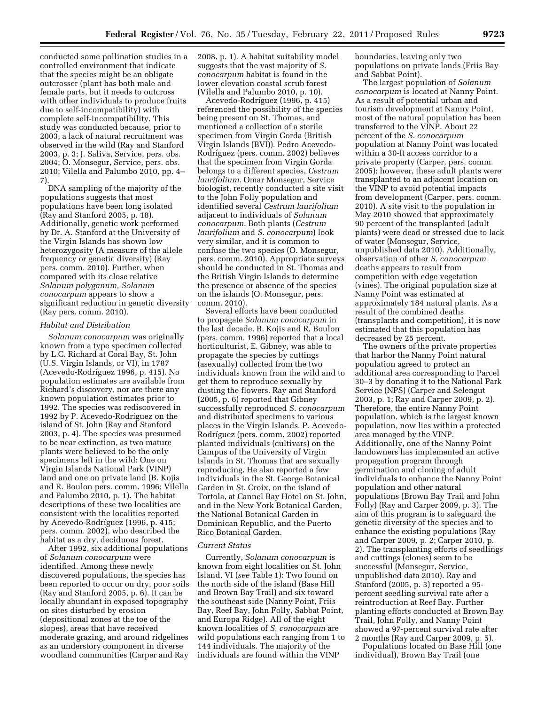conducted some pollination studies in a controlled environment that indicate that the species might be an obligate outcrosser (plant has both male and female parts, but it needs to outcross with other individuals to produce fruits due to self-incompatibility) with complete self-incompatibility. This study was conducted because, prior to 2003, a lack of natural recruitment was observed in the wild (Ray and Stanford 2003, p. 3; J. Saliva, Service, pers. obs. 2004; O. Monsegur, Service, pers. obs. 2010; Vilella and Palumbo 2010, pp. 4– 7).

DNA sampling of the majority of the populations suggests that most populations have been long isolated (Ray and Stanford 2005, p. 18). Additionally, genetic work performed by Dr. A. Stanford at the University of the Virgin Islands has shown low heterozygosity (A measure of the allele frequency or genetic diversity) (Ray pers. comm. 2010). Further, when compared with its close relative *Solanum polyganum, Solanum conocarpum* appears to show a significant reduction in genetic diversity (Ray pers. comm. 2010).

#### *Habitat and Distribution*

*Solanum conocarpum* was originally known from a type specimen collected by L.C. Richard at Coral Bay, St. John (U.S. Virgin Islands, or VI), in 1787 (Acevedo-Rodríguez 1996, p. 415). No population estimates are available from Richard's discovery, nor are there any known population estimates prior to 1992. The species was rediscovered in 1992 by P. Acevedo-Rodríguez on the island of St. John (Ray and Stanford 2003, p. 4). The species was presumed to be near extinction, as two mature plants were believed to be the only specimens left in the wild: One on Virgin Islands National Park (VINP) land and one on private land (B. Kojis and R. Boulon pers. comm. 1996; Vilella and Palumbo 2010, p. 1). The habitat descriptions of these two localities are consistent with the localities reported by Acevedo-Rodríguez (1996, p. 415; pers. comm. 2002), who described the habitat as a dry, deciduous forest.

After 1992, six additional populations of *Solanum conocarpum* were identified. Among these newly discovered populations, the species has been reported to occur on dry, poor soils (Ray and Stanford 2005, p. 6). It can be locally abundant in exposed topography on sites disturbed by erosion (depositional zones at the toe of the slopes), areas that have received moderate grazing, and around ridgelines as an understory component in diverse woodland communities (Carper and Ray

2008, p. 1). A habitat suitability model suggests that the vast majority of *S. conocarpum* habitat is found in the lower elevation coastal scrub forest (Vilella and Palumbo 2010, p. 10).

Acevedo-Rodrı´guez (1996, p. 415) referenced the possibility of the species being present on St. Thomas, and mentioned a collection of a sterile specimen from Virgin Gorda (British Virgin Islands (BVI)). Pedro Acevedo-Rodríguez (pers. comm. 2002) believes that the specimen from Virgin Gorda belongs to a different species, *Cestrum laurifolium.* Omar Monsegur, Service biologist, recently conducted a site visit to the John Folly population and identified several *Cestrum laurifolium*  adjacent to individuals of *Solanum conocarpum.* Both plants (*Cestrum laurifolium* and *S. conocarpum*) look very similar, and it is common to confuse the two species (O. Monsegur, pers. comm. 2010). Appropriate surveys should be conducted in St. Thomas and the British Virgin Islands to determine the presence or absence of the species on the islands (O. Monsegur, pers. comm. 2010).

Several efforts have been conducted to propagate *Solanum conocarpum* in the last decade. B. Kojis and R. Boulon (pers. comm. 1996) reported that a local horticulturist, E. Gibney, was able to propagate the species by cuttings (asexually) collected from the two individuals known from the wild and to get them to reproduce sexually by dusting the flowers. Ray and Stanford (2005, p. 6) reported that Gibney successfully reproduced *S. conocarpum*  and distributed specimens to various places in the Virgin Islands. P. Acevedo-Rodríguez (pers. comm. 2002) reported planted individuals (cultivars) on the Campus of the University of Virgin Islands in St. Thomas that are sexually reproducing. He also reported a few individuals in the St. George Botanical Garden in St. Croix, on the island of Tortola, at Cannel Bay Hotel on St. John, and in the New York Botanical Garden, the National Botanical Garden in Dominican Republic, and the Puerto Rico Botanical Garden.

### *Current Status*

Currently, *Solanum conocarpum* is known from eight localities on St. John Island, VI (*see* Table 1): Two found on the north side of the island (Base Hill and Brown Bay Trail) and six toward the southeast side (Nanny Point, Friis Bay, Reef Bay, John Folly, Sabbat Point, and Europa Ridge). All of the eight known localities of *S. conocarpum* are wild populations each ranging from 1 to 144 individuals. The majority of the individuals are found within the VINP

boundaries, leaving only two populations on private lands (Friis Bay and Sabbat Point).

The largest population of *Solanum conocarpum* is located at Nanny Point. As a result of potential urban and tourism development at Nanny Point, most of the natural population has been transferred to the VINP. About 22 percent of the *S. conocarpum*  population at Nanny Point was located within a 30-ft access corridor to a private property (Carper, pers. comm. 2005); however, these adult plants were transplanted to an adjacent location on the VINP to avoid potential impacts from development (Carper, pers. comm. 2010). A site visit to the population in May 2010 showed that approximately 90 percent of the transplanted (adult plants) were dead or stressed due to lack of water (Monsegur, Service, unpublished data 2010). Additionally, observation of other *S. conocarpum*  deaths appears to result from competition with edge vegetation (vines). The original population size at Nanny Point was estimated at approximately 184 natural plants. As a result of the combined deaths (transplants and competition), it is now estimated that this population has decreased by 25 percent.

The owners of the private properties that harbor the Nanny Point natural population agreed to protect an additional area corresponding to Parcel 30–3 by donating it to the National Park Service (NPS) (Carper and Selengut 2003, p. 1; Ray and Carper 2009, p. 2). Therefore, the entire Nanny Point population, which is the largest known population, now lies within a protected area managed by the VINP. Additionally, one of the Nanny Point landowners has implemented an active propagation program through germination and cloning of adult individuals to enhance the Nanny Point population and other natural populations (Brown Bay Trail and John Folly) (Ray and Carper 2009, p. 3). The aim of this program is to safeguard the genetic diversity of the species and to enhance the existing populations (Ray and Carper 2009, p. 2; Carper 2010, p. 2). The transplanting efforts of seedlings and cuttings (clones) seem to be successful (Monsegur, Service, unpublished data 2010). Ray and Stanford (2005, p. 3) reported a 95 percent seedling survival rate after a reintroduction at Reef Bay. Further planting efforts conducted at Brown Bay Trail, John Folly, and Nanny Point showed a 97-percent survival rate after 2 months (Ray and Carper 2009, p. 5).

Populations located on Base Hill (one individual), Brown Bay Trail (one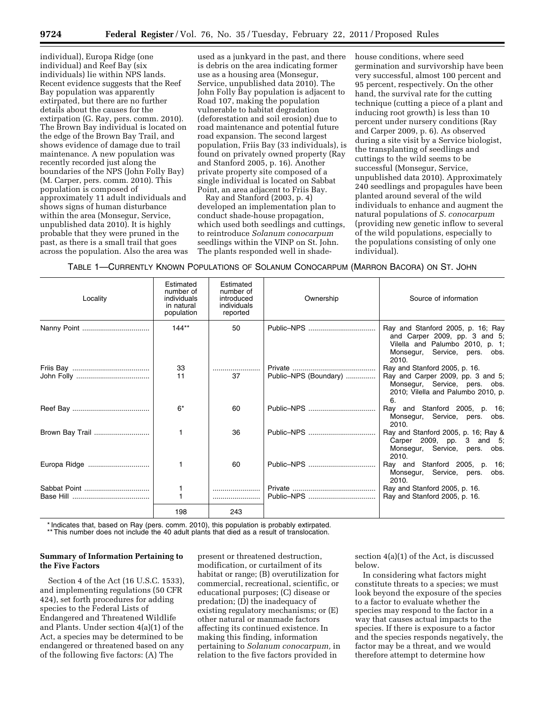individual), Europa Ridge (one individual) and Reef Bay (six individuals) lie within NPS lands. Recent evidence suggests that the Reef Bay population was apparently extirpated, but there are no further details about the causes for the extirpation (G. Ray, pers. comm. 2010). The Brown Bay individual is located on the edge of the Brown Bay Trail, and shows evidence of damage due to trail maintenance. A new population was recently recorded just along the boundaries of the NPS (John Folly Bay) (M. Carper, pers. comm. 2010). This population is composed of approximately 11 adult individuals and shows signs of human disturbance within the area (Monsegur, Service, unpublished data 2010). It is highly probable that they were pruned in the past, as there is a small trail that goes across the population. Also the area was

used as a junkyard in the past, and there is debris on the area indicating former use as a housing area (Monsegur, Service, unpublished data 2010). The John Folly Bay population is adjacent to Road 107, making the population vulnerable to habitat degradation (deforestation and soil erosion) due to road maintenance and potential future road expansion. The second largest population, Friis Bay (33 individuals), is found on privately owned property (Ray and Stanford 2005, p. 16). Another private property site composed of a single individual is located on Sabbat Point, an area adjacent to Friis Bay.

Ray and Stanford (2003, p. 4) developed an implementation plan to conduct shade-house propagation, which used both seedlings and cuttings, to reintroduce *Solanum conocarpum*  seedlings within the VINP on St. John. The plants responded well in shadehouse conditions, where seed germination and survivorship have been very successful, almost 100 percent and 95 percent, respectively. On the other hand, the survival rate for the cutting technique (cutting a piece of a plant and inducing root growth) is less than 10 percent under nursery conditions (Ray and Carper 2009, p. 6). As observed during a site visit by a Service biologist, the transplanting of seedlings and cuttings to the wild seems to be successful (Monsegur, Service, unpublished data 2010). Approximately 240 seedlings and propagules have been planted around several of the wild individuals to enhance and augment the natural populations of *S. conocarpum*  (providing new genetic inflow to several of the wild populations, especially to the populations consisting of only one individual).

TABLE 1—CURRENTLY KNOWN POPULATIONS OF SOLANUM CONOCARPUM (MARRON BACORA) ON ST. JOHN

| Locality     | Estimated<br>number of<br>individuals<br>in natural<br>population | Estimated<br>number of<br>introduced<br>individuals<br>reported | Ownership             | Source of information                                                                                                                           |
|--------------|-------------------------------------------------------------------|-----------------------------------------------------------------|-----------------------|-------------------------------------------------------------------------------------------------------------------------------------------------|
|              | $144**$                                                           | 50                                                              | Public-NPS            | Ray and Stanford 2005, p. 16; Ray<br>and Carper 2009, pp. 3 and 5;<br>Vilella and Palumbo 2010, p. 1;<br>Monsegur, Service, pers. obs.<br>2010. |
|              | 33<br>11                                                          | <br>37                                                          | Public-NPS (Boundary) | Ray and Stanford 2005, p. 16.<br>Ray and Carper 2009, pp. 3 and 5;<br>Monsegur, Service, pers. obs.<br>2010; Vilella and Palumbo 2010, p.<br>6. |
|              | $6*$                                                              | 60                                                              | Public-NPS            | Ray and Stanford 2005, p. 16;<br>Monsegur, Service, pers. obs.<br>2010.                                                                         |
|              |                                                                   | 36                                                              | Public-NPS            | Ray and Stanford 2005, p. 16; Ray &<br>Carper 2009, pp. 3 and 5;<br>Monsegur, Service, pers. obs.<br>2010.                                      |
| Europa Ridge | 1                                                                 | 60                                                              | Public-NPS            | Ray and Stanford 2005, p. 16;<br>Monsegur, Service, pers. obs.<br>2010.                                                                         |
|              | 1<br>1                                                            |                                                                 | Public-NPS            | Ray and Stanford 2005, p. 16.<br>Ray and Stanford 2005, p. 16.                                                                                  |
|              | 198                                                               | 243                                                             |                       |                                                                                                                                                 |

\* Indicates that, based on Ray (pers. comm. 2010), this population is probably extirpated.

\*\* This number does not include the 40 adult plants that died as a result of translocation.

# **Summary of Information Pertaining to the Five Factors**

Section 4 of the Act (16 U.S.C. 1533), and implementing regulations (50 CFR 424), set forth procedures for adding species to the Federal Lists of Endangered and Threatened Wildlife and Plants. Under section 4(a)(1) of the Act, a species may be determined to be endangered or threatened based on any of the following five factors: (A) The

present or threatened destruction, modification, or curtailment of its habitat or range; (B) overutilization for commercial, recreational, scientific, or educational purposes; (C) disease or predation; (D) the inadequacy of existing regulatory mechanisms; or (E) other natural or manmade factors affecting its continued existence. In making this finding, information pertaining to *Solanum conocarpum,* in relation to the five factors provided in

section 4(a)(1) of the Act, is discussed below.

In considering what factors might constitute threats to a species; we must look beyond the exposure of the species to a factor to evaluate whether the species may respond to the factor in a way that causes actual impacts to the species. If there is exposure to a factor and the species responds negatively, the factor may be a threat, and we would therefore attempt to determine how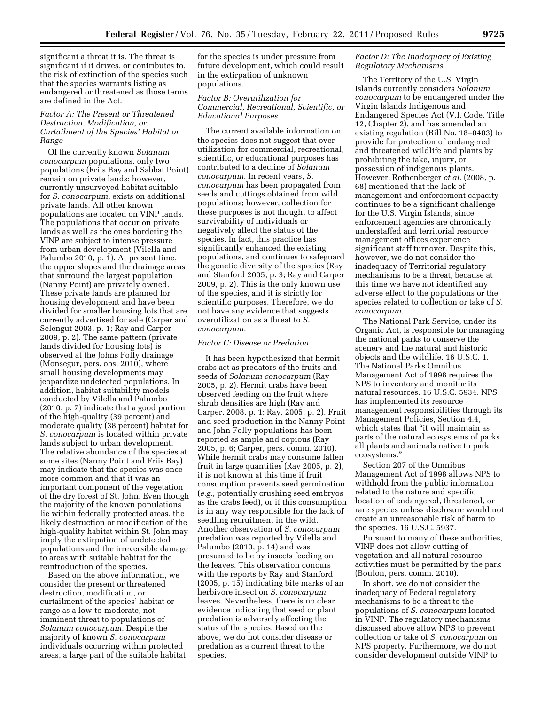significant a threat it is. The threat is significant if it drives, or contributes to, the risk of extinction of the species such that the species warrants listing as endangered or threatened as those terms are defined in the Act.

# *Factor A: The Present or Threatened Destruction, Modification, or Curtailment of the Species' Habitat or Range*

Of the currently known *Solanum conocarpum* populations, only two populations (Friis Bay and Sabbat Point) remain on private lands; however, currently unsurveyed habitat suitable for *S. conocarpum,* exists on additional private lands. All other known populations are located on VINP lands. The populations that occur on private lands as well as the ones bordering the VINP are subject to intense pressure from urban development (Vilella and Palumbo 2010, p. 1). At present time, the upper slopes and the drainage areas that surround the largest population (Nanny Point) are privately owned. These private lands are planned for housing development and have been divided for smaller housing lots that are currently advertised for sale (Carper and Selengut 2003, p. 1; Ray and Carper 2009, p. 2). The same pattern (private lands divided for housing lots) is observed at the Johns Folly drainage (Monsegur, pers. obs. 2010), where small housing developments may jeopardize undetected populations. In addition, habitat suitability models conducted by Vilella and Palumbo (2010, p. 7) indicate that a good portion of the high-quality (39 percent) and moderate quality (38 percent) habitat for *S. conocarpum* is located within private lands subject to urban development. The relative abundance of the species at some sites (Nanny Point and Friis Bay) may indicate that the species was once more common and that it was an important component of the vegetation of the dry forest of St. John. Even though the majority of the known populations lie within federally protected areas, the likely destruction or modification of the high-quality habitat within St. John may imply the extirpation of undetected populations and the irreversible damage to areas with suitable habitat for the reintroduction of the species.

Based on the above information, we consider the present or threatened destruction, modification, or curtailment of the species' habitat or range as a low-to-moderate, not imminent threat to populations of *Solanum conocarpum.* Despite the majority of known *S. conocarpum*  individuals occurring within protected areas, a large part of the suitable habitat

for the species is under pressure from future development, which could result in the extirpation of unknown populations.

# *Factor B: Overutilization for Commercial, Recreational, Scientific, or Educational Purposes*

The current available information on the species does not suggest that overutilization for commercial, recreational, scientific, or educational purposes has contributed to a decline of *Solanum conocarpum.* In recent years, *S. conocarpum* has been propagated from seeds and cuttings obtained from wild populations; however, collection for these purposes is not thought to affect survivability of individuals or negatively affect the status of the species. In fact, this practice has significantly enhanced the existing populations, and continues to safeguard the genetic diversity of the species (Ray and Stanford 2005, p. 3; Ray and Carper 2009, p. 2). This is the only known use of the species, and it is strictly for scientific purposes. Therefore, we do not have any evidence that suggests overutilization as a threat to *S. conocarpum.* 

### *Factor C: Disease or Predation*

It has been hypothesized that hermit crabs act as predators of the fruits and seeds of *Solanum conocarpum* (Ray 2005, p. 2). Hermit crabs have been observed feeding on the fruit where shrub densities are high (Ray and Carper, 2008, p. 1; Ray, 2005, p. 2). Fruit and seed production in the Nanny Point and John Folly populations has been reported as ample and copious (Ray 2005, p. 6; Carper, pers. comm. 2010). While hermit crabs may consume fallen fruit in large quantities (Ray 2005, p. 2), it is not known at this time if fruit consumption prevents seed germination (*e.g.,* potentially crushing seed embryos as the crabs feed), or if this consumption is in any way responsible for the lack of seedling recruitment in the wild. Another observation of *S. conocarpum*  predation was reported by Vilella and Palumbo (2010, p. 14) and was presumed to be by insects feeding on the leaves. This observation concurs with the reports by Ray and Stanford (2005, p. 15) indicating bite marks of an herbivore insect on *S. conocarpum*  leaves. Nevertheless, there is no clear evidence indicating that seed or plant predation is adversely affecting the status of the species. Based on the above, we do not consider disease or predation as a current threat to the species.

### *Factor D: The Inadequacy of Existing Regulatory Mechanisms*

The Territory of the U.S. Virgin Islands currently considers *Solanum conocarpum* to be endangered under the Virgin Islands Indigenous and Endangered Species Act (V.I. Code, Title 12, Chapter 2), and has amended an existing regulation (Bill No. 18–0403) to provide for protection of endangered and threatened wildlife and plants by prohibiting the take, injury, or possession of indigenous plants. However, Rothenberger *et al.* (2008, p. 68) mentioned that the lack of management and enforcement capacity continues to be a significant challenge for the U.S. Virgin Islands, since enforcement agencies are chronically understaffed and territorial resource management offices experience significant staff turnover. Despite this, however, we do not consider the inadequacy of Territorial regulatory mechanisms to be a threat, because at this time we have not identified any adverse effect to the populations or the species related to collection or take of *S. conocarpum.* 

The National Park Service, under its Organic Act, is responsible for managing the national parks to conserve the scenery and the natural and historic objects and the wildlife. 16 U.S.C. 1. The National Parks Omnibus Management Act of 1998 requires the NPS to inventory and monitor its natural resources. 16 U.S.C. 5934. NPS has implemented its resource management responsibilities through its Management Policies, Section 4.4, which states that ''it will maintain as parts of the natural ecosystems of parks all plants and animals native to park ecosystems.''

Section 207 of the Omnibus Management Act of 1998 allows NPS to withhold from the public information related to the nature and specific location of endangered, threatened, or rare species unless disclosure would not create an unreasonable risk of harm to the species. 16 U.S.C. 5937.

Pursuant to many of these authorities, VINP does not allow cutting of vegetation and all natural resource activities must be permitted by the park (Boulon, pers. comm. 2010).

In short, we do not consider the inadequacy of Federal regulatory mechanisms to be a threat to the populations of *S. conocarpum* located in VINP. The regulatory mechanisms discussed above allow NPS to prevent collection or take of *S. conocarpum* on NPS property. Furthermore, we do not consider development outside VINP to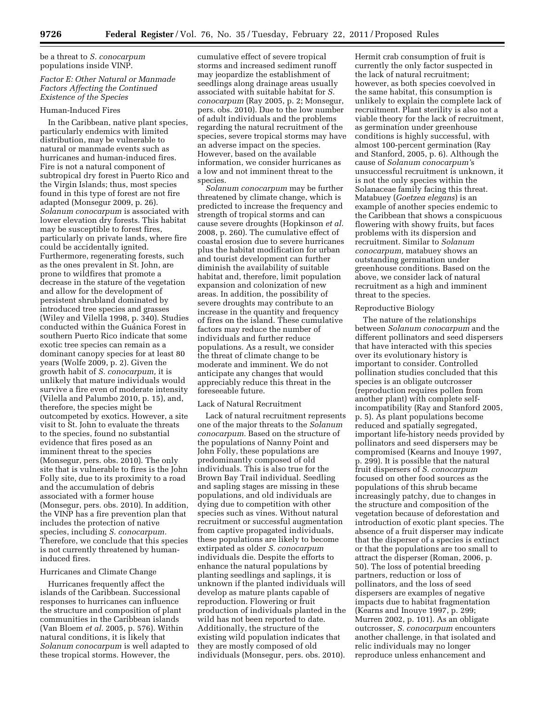be a threat to *S. conocarpum*  populations inside VINP.

# *Factor E: Other Natural or Manmade Factors Affecting the Continued Existence of the Species*

### Human-Induced Fires

In the Caribbean, native plant species, particularly endemics with limited distribution, may be vulnerable to natural or manmade events such as hurricanes and human-induced fires. Fire is not a natural component of subtropical dry forest in Puerto Rico and the Virgin Islands; thus, most species found in this type of forest are not fire adapted (Monsegur 2009, p. 26). *Solanum conocarpum* is associated with lower elevation dry forests. This habitat may be susceptible to forest fires, particularly on private lands, where fire could be accidentally ignited. Furthermore, regenerating forests, such as the ones prevalent in St. John, are prone to wildfires that promote a decrease in the stature of the vegetation and allow for the development of persistent shrubland dominated by introduced tree species and grasses (Wiley and Vilella 1998, p. 340). Studies conducted within the Guanica Forest in southern Puerto Rico indicate that some exotic tree species can remain as a dominant canopy species for at least 80 years (Wolfe 2009, p. 2). Given the growth habit of *S. conocarpum,* it is unlikely that mature individuals would survive a fire even of moderate intensity (Vilella and Palumbo 2010, p. 15), and, therefore, the species might be outcompeted by exotics. However, a site visit to St. John to evaluate the threats to the species, found no substantial evidence that fires posed as an imminent threat to the species (Monsegur, pers. obs. 2010). The only site that is vulnerable to fires is the John Folly site, due to its proximity to a road and the accumulation of debris associated with a former house (Monsegur, pers. obs. 2010). In addition, the VINP has a fire prevention plan that includes the protection of native species, including *S. conocarpum.*  Therefore, we conclude that this species is not currently threatened by humaninduced fires.

### Hurricanes and Climate Change

Hurricanes frequently affect the islands of the Caribbean. Successional responses to hurricanes can influence the structure and composition of plant communities in the Caribbean islands (Van Bloem *et al.* 2005, p. 576). Within natural conditions, it is likely that *Solanum conocarpum* is well adapted to these tropical storms. However, the

cumulative effect of severe tropical storms and increased sediment runoff may jeopardize the establishment of seedlings along drainage areas usually associated with suitable habitat for *S. conocarpum* (Ray 2005, p. 2; Monsegur, pers. obs. 2010). Due to the low number of adult individuals and the problems regarding the natural recruitment of the species, severe tropical storms may have an adverse impact on the species. However, based on the available information, we consider hurricanes as a low and not imminent threat to the species.

*Solanum conocarpum* may be further threatened by climate change, which is predicted to increase the frequency and strength of tropical storms and can cause severe droughts (Hopkinson *et al.*  2008, p. 260). The cumulative effect of coastal erosion due to severe hurricanes plus the habitat modification for urban and tourist development can further diminish the availability of suitable habitat and, therefore, limit population expansion and colonization of new areas. In addition, the possibility of severe droughts may contribute to an increase in the quantity and frequency of fires on the island. These cumulative factors may reduce the number of individuals and further reduce populations. As a result, we consider the threat of climate change to be moderate and imminent. We do not anticipate any changes that would appreciably reduce this threat in the foreseeable future.

### Lack of Natural Recruitment

Lack of natural recruitment represents one of the major threats to the *Solanum conocarpum.* Based on the structure of the populations of Nanny Point and John Folly, these populations are predominantly composed of old individuals. This is also true for the Brown Bay Trail individual. Seedling and sapling stages are missing in these populations, and old individuals are dying due to competition with other species such as vines. Without natural recruitment or successful augmentation from captive propagated individuals, these populations are likely to become extirpated as older *S. conocarpum*  individuals die. Despite the efforts to enhance the natural populations by planting seedlings and saplings, it is unknown if the planted individuals will develop as mature plants capable of reproduction. Flowering or fruit production of individuals planted in the wild has not been reported to date. Additionally, the structure of the existing wild population indicates that they are mostly composed of old individuals (Monsegur, pers. obs. 2010).

Hermit crab consumption of fruit is currently the only factor suspected in the lack of natural recruitment; however, as both species coevolved in the same habitat, this consumption is unlikely to explain the complete lack of recruitment. Plant sterility is also not a viable theory for the lack of recruitment, as germination under greenhouse conditions is highly successful, with almost 100-percent germination (Ray and Stanford, 2005, p. 6). Although the cause of *Solanum conocarpum'*s unsuccessful recruitment is unknown, it is not the only species within the Solanaceae family facing this threat. Matabuey (*Goetzea elegans*) is an example of another species endemic to the Caribbean that shows a conspicuous flowering with showy fruits, but faces problems with its dispersion and recruitment. Similar to *Solanum conocarpum,* matabuey shows an outstanding germination under greenhouse conditions. Based on the above, we consider lack of natural recruitment as a high and imminent threat to the species.

### Reproductive Biology

The nature of the relationships between *Solanum conocarpum* and the different pollinators and seed dispersers that have interacted with this species over its evolutionary history is important to consider. Controlled pollination studies concluded that this species is an obligate outcrosser (reproduction requires pollen from another plant) with complete selfincompatibility (Ray and Stanford 2005, p. 5). As plant populations become reduced and spatially segregated, important life-history needs provided by pollinators and seed dispersers may be compromised (Kearns and Inouye 1997, p. 299). It is possible that the natural fruit dispersers of *S. conocarpum*  focused on other food sources as the populations of this shrub became increasingly patchy, due to changes in the structure and composition of the vegetation because of deforestation and introduction of exotic plant species. The absence of a fruit disperser may indicate that the disperser of a species is extinct or that the populations are too small to attract the disperser (Roman, 2006, p. 50). The loss of potential breeding partners, reduction or loss of pollinators, and the loss of seed dispersers are examples of negative impacts due to habitat fragmentation (Kearns and Inouye 1997, p. 299; Murren 2002, p. 101). As an obligate outcrosser, *S. conocarpum* encounters another challenge, in that isolated and relic individuals may no longer reproduce unless enhancement and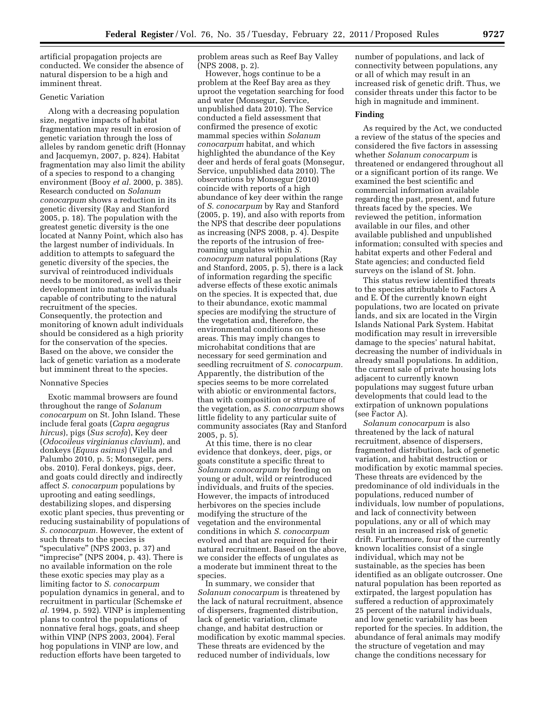artificial propagation projects are conducted. We consider the absence of natural dispersion to be a high and imminent threat.

# Genetic Variation

Along with a decreasing population size, negative impacts of habitat fragmentation may result in erosion of genetic variation through the loss of alleles by random genetic drift (Honnay and Jacquemyn, 2007, p. 824). Habitat fragmentation may also limit the ability of a species to respond to a changing environment (Booy *et al.* 2000, p. 385). Research conducted on *Solanum conocarpum* shows a reduction in its genetic diversity (Ray and Stanford 2005, p. 18). The population with the greatest genetic diversity is the one located at Nanny Point, which also has the largest number of individuals. In addition to attempts to safeguard the genetic diversity of the species, the survival of reintroduced individuals needs to be monitored, as well as their development into mature individuals capable of contributing to the natural recruitment of the species. Consequently, the protection and monitoring of known adult individuals should be considered as a high priority for the conservation of the species. Based on the above, we consider the lack of genetic variation as a moderate but imminent threat to the species.

### Nonnative Species

Exotic mammal browsers are found throughout the range of *Solanum conocarpum* on St. John Island. These include feral goats (*Capra aegagrus hircus*), pigs (*Sus scrofa*), Key deer (*Odocoileus virginianus clavium*), and donkeys (*Equus asinus*) (Vilella and Palumbo 2010, p. 5; Monsegur, pers. obs. 2010). Feral donkeys, pigs, deer, and goats could directly and indirectly affect *S. conocarpum* populations by uprooting and eating seedlings, destabilizing slopes, and dispersing exotic plant species, thus preventing or reducing sustainability of populations of *S. conocarpum.* However, the extent of such threats to the species is "speculative" (NPS 2003, p. 37) and "imprecise" (NPS 2004, p. 43). There is no available information on the role these exotic species may play as a limiting factor to *S. conocarpum*  population dynamics in general, and to recruitment in particular (Schemske *et al.* 1994, p. 592). VINP is implementing plans to control the populations of nonnative feral hogs, goats, and sheep within VINP (NPS 2003, 2004). Feral hog populations in VINP are low, and reduction efforts have been targeted to

problem areas such as Reef Bay Valley (NPS 2008, p. 2).

However, hogs continue to be a problem at the Reef Bay area as they uproot the vegetation searching for food and water (Monsegur, Service, unpublished data 2010). The Service conducted a field assessment that confirmed the presence of exotic mammal species within *Solanum conocarpum* habitat, and which highlighted the abundance of the Key deer and herds of feral goats (Monsegur, Service, unpublished data 2010). The observations by Monsegur (2010) coincide with reports of a high abundance of key deer within the range of *S. conocarpum* by Ray and Stanford (2005, p. 19), and also with reports from the NPS that describe deer populations as increasing (NPS 2008, p. 4). Despite the reports of the intrusion of freeroaming ungulates within *S. conocarpum* natural populations (Ray and Stanford, 2005, p. 5), there is a lack of information regarding the specific adverse effects of these exotic animals on the species. It is expected that, due to their abundance, exotic mammal species are modifying the structure of the vegetation and, therefore, the environmental conditions on these areas. This may imply changes to microhabitat conditions that are necessary for seed germination and seedling recruitment of *S. conocarpum.*  Apparently, the distribution of the species seems to be more correlated with abiotic or environmental factors, than with composition or structure of the vegetation, as *S. conocarpum* shows little fidelity to any particular suite of community associates (Ray and Stanford 2005, p. 5).

At this time, there is no clear evidence that donkeys, deer, pigs, or goats constitute a specific threat to *Solanum conocarpum* by feeding on young or adult, wild or reintroduced individuals, and fruits of the species. However, the impacts of introduced herbivores on the species include modifying the structure of the vegetation and the environmental conditions in which *S. conocarpum*  evolved and that are required for their natural recruitment. Based on the above, we consider the effects of ungulates as a moderate but imminent threat to the species.

In summary, we consider that *Solanum conocarpum* is threatened by the lack of natural recruitment, absence of dispersers, fragmented distribution, lack of genetic variation, climate change, and habitat destruction or modification by exotic mammal species. These threats are evidenced by the reduced number of individuals, low

number of populations, and lack of connectivity between populations, any or all of which may result in an increased risk of genetic drift. Thus, we consider threats under this factor to be high in magnitude and imminent.

#### **Finding**

As required by the Act, we conducted a review of the status of the species and considered the five factors in assessing whether *Solanum conocarpum* is threatened or endangered throughout all or a significant portion of its range. We examined the best scientific and commercial information available regarding the past, present, and future threats faced by the species. We reviewed the petition, information available in our files, and other available published and unpublished information; consulted with species and habitat experts and other Federal and State agencies; and conducted field surveys on the island of St. John.

This status review identified threats to the species attributable to Factors A and E. Of the currently known eight populations, two are located on private lands, and six are located in the Virgin Islands National Park System. Habitat modification may result in irreversible damage to the species' natural habitat, decreasing the number of individuals in already small populations. In addition, the current sale of private housing lots adjacent to currently known populations may suggest future urban developments that could lead to the extirpation of unknown populations (see Factor A).

*Solanum conocarpum* is also threatened by the lack of natural recruitment, absence of dispersers, fragmented distribution, lack of genetic variation, and habitat destruction or modification by exotic mammal species. These threats are evidenced by the predominance of old individuals in the populations, reduced number of individuals, low number of populations, and lack of connectivity between populations, any or all of which may result in an increased risk of genetic drift. Furthermore, four of the currently known localities consist of a single individual, which may not be sustainable, as the species has been identified as an obligate outcrosser. One natural population has been reported as extirpated, the largest population has suffered a reduction of approximately 25 percent of the natural individuals, and low genetic variability has been reported for the species. In addition, the abundance of feral animals may modify the structure of vegetation and may change the conditions necessary for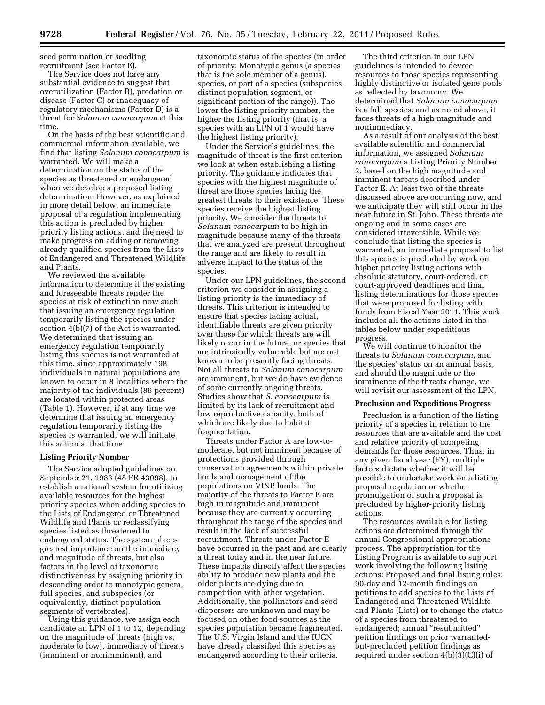seed germination or seedling recruitment (see Factor E).

The Service does not have any substantial evidence to suggest that overutilization (Factor B), predation or disease (Factor C) or inadequacy of regulatory mechanisms (Factor D) is a threat for *Solanum conocarpum* at this time.

On the basis of the best scientific and commercial information available, we find that listing *Solanum conocarpum* is warranted. We will make a determination on the status of the species as threatened or endangered when we develop a proposed listing determination. However, as explained in more detail below, an immediate proposal of a regulation implementing this action is precluded by higher priority listing actions, and the need to make progress on adding or removing already qualified species from the Lists of Endangered and Threatened Wildlife and Plants.

We reviewed the available information to determine if the existing and foreseeable threats render the species at risk of extinction now such that issuing an emergency regulation temporarily listing the species under section 4(b)(7) of the Act is warranted. We determined that issuing an emergency regulation temporarily listing this species is not warranted at this time, since approximately 198 individuals in natural populations are known to occur in 8 localities where the majority of the individuals (86 percent) are located within protected areas (Table 1). However, if at any time we determine that issuing an emergency regulation temporarily listing the species is warranted, we will initiate this action at that time.

#### **Listing Priority Number**

The Service adopted guidelines on September 21, 1983 (48 FR 43098), to establish a rational system for utilizing available resources for the highest priority species when adding species to the Lists of Endangered or Threatened Wildlife and Plants or reclassifying species listed as threatened to endangered status. The system places greatest importance on the immediacy and magnitude of threats, but also factors in the level of taxonomic distinctiveness by assigning priority in descending order to monotypic genera, full species, and subspecies (or equivalently, distinct population segments of vertebrates).

Using this guidance, we assign each candidate an LPN of 1 to 12, depending on the magnitude of threats (high vs. moderate to low), immediacy of threats (imminent or nonimminent), and

taxonomic status of the species (in order of priority: Monotypic genus (a species that is the sole member of a genus), species, or part of a species (subspecies, distinct population segment, or significant portion of the range)). The lower the listing priority number, the higher the listing priority (that is, a species with an LPN of 1 would have the highest listing priority).

Under the Service's guidelines, the magnitude of threat is the first criterion we look at when establishing a listing priority. The guidance indicates that species with the highest magnitude of threat are those species facing the greatest threats to their existence. These species receive the highest listing priority. We consider the threats to *Solanum conocarpum* to be high in magnitude because many of the threats that we analyzed are present throughout the range and are likely to result in adverse impact to the status of the species.

Under our LPN guidelines, the second criterion we consider in assigning a listing priority is the immediacy of threats. This criterion is intended to ensure that species facing actual, identifiable threats are given priority over those for which threats are will likely occur in the future, or species that are intrinsically vulnerable but are not known to be presently facing threats. Not all threats to *Solanum conocarpum*  are imminent, but we do have evidence of some currently ongoing threats. Studies show that *S. conocarpum* is limited by its lack of recruitment and low reproductive capacity, both of which are likely due to habitat fragmentation.

Threats under Factor A are low-tomoderate, but not imminent because of protections provided through conservation agreements within private lands and management of the populations on VINP lands. The majority of the threats to Factor E are high in magnitude and imminent because they are currently occurring throughout the range of the species and result in the lack of successful recruitment. Threats under Factor E have occurred in the past and are clearly a threat today and in the near future. These impacts directly affect the species ability to produce new plants and the older plants are dying due to competition with other vegetation. Additionally, the pollinators and seed dispersers are unknown and may be focused on other food sources as the species population became fragmented. The U.S. Virgin Island and the IUCN have already classified this species as endangered according to their criteria.

The third criterion in our LPN guidelines is intended to devote resources to those species representing highly distinctive or isolated gene pools as reflected by taxonomy. We determined that *Solanum conocarpum*  is a full species, and as noted above, it faces threats of a high magnitude and nonimmediacy.

As a result of our analysis of the best available scientific and commercial information, we assigned *Solanum conocarpum* a Listing Priority Number 2, based on the high magnitude and imminent threats described under Factor E. At least two of the threats discussed above are occurring now, and we anticipate they will still occur in the near future in St. John. These threats are ongoing and in some cases are considered irreversible. While we conclude that listing the species is warranted, an immediate proposal to list this species is precluded by work on higher priority listing actions with absolute statutory, court-ordered, or court-approved deadlines and final listing determinations for those species that were proposed for listing with funds from Fiscal Year 2011. This work includes all the actions listed in the tables below under expeditious progress.

We will continue to monitor the threats to *Solanum conocarpum,* and the species' status on an annual basis, and should the magnitude or the imminence of the threats change, we will revisit our assessment of the LPN.

### **Preclusion and Expeditious Progress**

Preclusion is a function of the listing priority of a species in relation to the resources that are available and the cost and relative priority of competing demands for those resources. Thus, in any given fiscal year (FY), multiple factors dictate whether it will be possible to undertake work on a listing proposal regulation or whether promulgation of such a proposal is precluded by higher-priority listing actions.

The resources available for listing actions are determined through the annual Congressional appropriations process. The appropriation for the Listing Program is available to support work involving the following listing actions: Proposed and final listing rules; 90-day and 12-month findings on petitions to add species to the Lists of Endangered and Threatened Wildlife and Plants (Lists) or to change the status of a species from threatened to endangered; annual "resubmitted" petition findings on prior warrantedbut-precluded petition findings as required under section 4(b)(3)(C)(i) of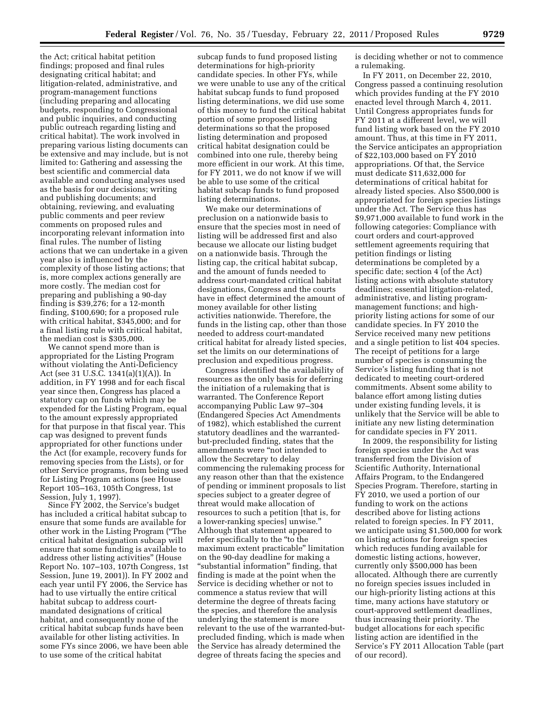the Act; critical habitat petition findings; proposed and final rules designating critical habitat; and litigation-related, administrative, and program-management functions (including preparing and allocating budgets, responding to Congressional and public inquiries, and conducting public outreach regarding listing and critical habitat). The work involved in preparing various listing documents can be extensive and may include, but is not limited to: Gathering and assessing the best scientific and commercial data available and conducting analyses used as the basis for our decisions; writing and publishing documents; and obtaining, reviewing, and evaluating public comments and peer review comments on proposed rules and incorporating relevant information into final rules. The number of listing actions that we can undertake in a given year also is influenced by the complexity of those listing actions; that is, more complex actions generally are more costly. The median cost for preparing and publishing a 90-day finding is \$39,276; for a 12-month finding, \$100,690; for a proposed rule with critical habitat, \$345,000; and for a final listing rule with critical habitat, the median cost is \$305,000.

We cannot spend more than is appropriated for the Listing Program without violating the Anti-Deficiency Act (see 31 U.S.C. 1341(a)(1)(A)). In addition, in FY 1998 and for each fiscal year since then, Congress has placed a statutory cap on funds which may be expended for the Listing Program, equal to the amount expressly appropriated for that purpose in that fiscal year. This cap was designed to prevent funds appropriated for other functions under the Act (for example, recovery funds for removing species from the Lists), or for other Service programs, from being used for Listing Program actions (see House Report 105–163, 105th Congress, 1st Session, July 1, 1997).

Since FY 2002, the Service's budget has included a critical habitat subcap to ensure that some funds are available for other work in the Listing Program (''The critical habitat designation subcap will ensure that some funding is available to address other listing activities'' (House Report No. 107–103, 107th Congress, 1st Session, June 19, 2001)). In FY 2002 and each year until FY 2006, the Service has had to use virtually the entire critical habitat subcap to address courtmandated designations of critical habitat, and consequently none of the critical habitat subcap funds have been available for other listing activities. In some FYs since 2006, we have been able to use some of the critical habitat

subcap funds to fund proposed listing determinations for high-priority candidate species. In other FYs, while we were unable to use any of the critical habitat subcap funds to fund proposed listing determinations, we did use some of this money to fund the critical habitat portion of some proposed listing determinations so that the proposed listing determination and proposed critical habitat designation could be combined into one rule, thereby being more efficient in our work. At this time, for FY 2011, we do not know if we will be able to use some of the critical habitat subcap funds to fund proposed listing determinations.

We make our determinations of preclusion on a nationwide basis to ensure that the species most in need of listing will be addressed first and also because we allocate our listing budget on a nationwide basis. Through the listing cap, the critical habitat subcap, and the amount of funds needed to address court-mandated critical habitat designations, Congress and the courts have in effect determined the amount of money available for other listing activities nationwide. Therefore, the funds in the listing cap, other than those needed to address court-mandated critical habitat for already listed species, set the limits on our determinations of preclusion and expeditious progress.

Congress identified the availability of resources as the only basis for deferring the initiation of a rulemaking that is warranted. The Conference Report accompanying Public Law 97–304 (Endangered Species Act Amendments of 1982), which established the current statutory deadlines and the warrantedbut-precluded finding, states that the amendments were ''not intended to allow the Secretary to delay commencing the rulemaking process for any reason other than that the existence of pending or imminent proposals to list species subject to a greater degree of threat would make allocation of resources to such a petition [that is, for a lower-ranking species] unwise.'' Although that statement appeared to refer specifically to the ''to the maximum extent practicable'' limitation on the 90-day deadline for making a ''substantial information'' finding, that finding is made at the point when the Service is deciding whether or not to commence a status review that will determine the degree of threats facing the species, and therefore the analysis underlying the statement is more relevant to the use of the warranted-butprecluded finding, which is made when the Service has already determined the degree of threats facing the species and

is deciding whether or not to commence a rulemaking.

In FY 2011, on December 22, 2010, Congress passed a continuing resolution which provides funding at the FY 2010 enacted level through March 4, 2011. Until Congress appropriates funds for FY 2011 at a different level, we will fund listing work based on the FY 2010 amount. Thus, at this time in FY 2011, the Service anticipates an appropriation of \$22,103,000 based on FY 2010 appropriations. Of that, the Service must dedicate \$11,632,000 for determinations of critical habitat for already listed species. Also \$500,000 is appropriated for foreign species listings under the Act. The Service thus has \$9,971,000 available to fund work in the following categories: Compliance with court orders and court-approved settlement agreements requiring that petition findings or listing determinations be completed by a specific date; section 4 (of the Act) listing actions with absolute statutory deadlines; essential litigation-related, administrative, and listing programmanagement functions; and highpriority listing actions for some of our candidate species. In FY 2010 the Service received many new petitions and a single petition to list 404 species. The receipt of petitions for a large number of species is consuming the Service's listing funding that is not dedicated to meeting court-ordered commitments. Absent some ability to balance effort among listing duties under existing funding levels, it is unlikely that the Service will be able to initiate any new listing determination for candidate species in FY 2011.

In 2009, the responsibility for listing foreign species under the Act was transferred from the Division of Scientific Authority, International Affairs Program, to the Endangered Species Program. Therefore, starting in FY 2010, we used a portion of our funding to work on the actions described above for listing actions related to foreign species. In FY 2011, we anticipate using \$1,500,000 for work on listing actions for foreign species which reduces funding available for domestic listing actions, however, currently only \$500,000 has been allocated. Although there are currently no foreign species issues included in our high-priority listing actions at this time, many actions have statutory or court-approved settlement deadlines, thus increasing their priority. The budget allocations for each specific listing action are identified in the Service's FY 2011 Allocation Table (part of our record).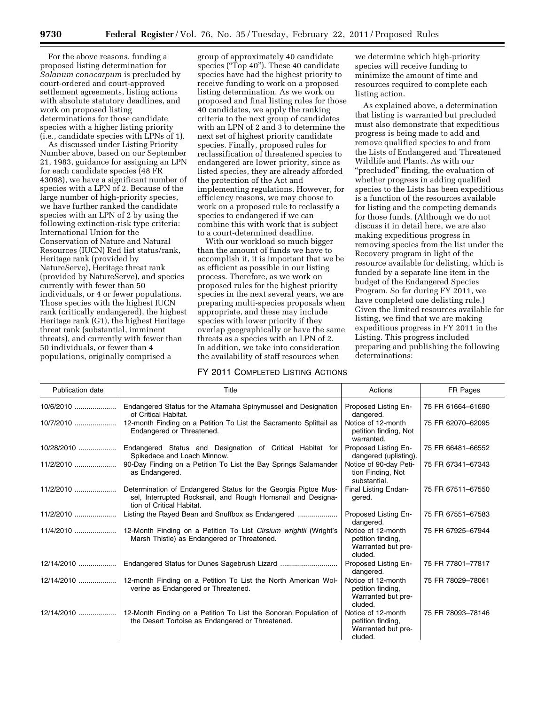For the above reasons, funding a proposed listing determination for *Solanum conocarpum* is precluded by court-ordered and court-approved settlement agreements, listing actions with absolute statutory deadlines, and work on proposed listing determinations for those candidate species with a higher listing priority (i.e., candidate species with LPNs of 1).

As discussed under Listing Priority Number above, based on our September 21, 1983, guidance for assigning an LPN for each candidate species (48 FR 43098), we have a significant number of species with a LPN of 2. Because of the large number of high-priority species, we have further ranked the candidate species with an LPN of 2 by using the following extinction-risk type criteria: International Union for the Conservation of Nature and Natural Resources (IUCN) Red list status/rank, Heritage rank (provided by NatureServe), Heritage threat rank (provided by NatureServe), and species currently with fewer than 50 individuals, or 4 or fewer populations. Those species with the highest IUCN rank (critically endangered), the highest Heritage rank (G1), the highest Heritage threat rank (substantial, imminent threats), and currently with fewer than 50 individuals, or fewer than 4 populations, originally comprised a

group of approximately 40 candidate species ("Top 40"). These 40 candidate species have had the highest priority to receive funding to work on a proposed listing determination. As we work on proposed and final listing rules for those 40 candidates, we apply the ranking criteria to the next group of candidates with an LPN of 2 and 3 to determine the next set of highest priority candidate species. Finally, proposed rules for reclassification of threatened species to endangered are lower priority, since as listed species, they are already afforded the protection of the Act and implementing regulations. However, for efficiency reasons, we may choose to work on a proposed rule to reclassify a species to endangered if we can combine this with work that is subject to a court-determined deadline.

With our workload so much bigger than the amount of funds we have to accomplish it, it is important that we be as efficient as possible in our listing process. Therefore, as we work on proposed rules for the highest priority species in the next several years, we are preparing multi-species proposals when appropriate, and these may include species with lower priority if they overlap geographically or have the same threats as a species with an LPN of 2. In addition, we take into consideration the availability of staff resources when

# FY 2011 COMPLETED LISTING ACTIONS

we determine which high-priority species will receive funding to minimize the amount of time and resources required to complete each listing action.

As explained above, a determination that listing is warranted but precluded must also demonstrate that expeditious progress is being made to add and remove qualified species to and from the Lists of Endangered and Threatened Wildlife and Plants. As with our "precluded" finding, the evaluation of whether progress in adding qualified species to the Lists has been expeditious is a function of the resources available for listing and the competing demands for those funds. (Although we do not discuss it in detail here, we are also making expeditious progress in removing species from the list under the Recovery program in light of the resource available for delisting, which is funded by a separate line item in the budget of the Endangered Species Program. So far during FY 2011, we have completed one delisting rule.) Given the limited resources available for listing, we find that we are making expeditious progress in FY 2011 in the Listing. This progress included preparing and publishing the following determinations:

| <b>Publication date</b> | Title                                                                                                                                                       | Actions                                                                  | FR Pages          |
|-------------------------|-------------------------------------------------------------------------------------------------------------------------------------------------------------|--------------------------------------------------------------------------|-------------------|
| $10/6/2010$             | Endangered Status for the Altamaha Spinymussel and Designation<br>of Critical Habitat.                                                                      | Proposed Listing En-<br>dangered.                                        | 75 FR 61664-61690 |
| 10/7/2010               | 12-month Finding on a Petition To List the Sacramento Splittail as<br>Endangered or Threatened.                                                             | Notice of 12-month<br>petition finding, Not<br>warranted.                | 75 FR 62070-62095 |
| $10/28/2010$            | Endangered Status and Designation of Critical Habitat for<br>Spikedace and Loach Minnow.                                                                    | Proposed Listing En-<br>dangered (uplisting).                            | 75 FR 66481-66552 |
|                         | 90-Day Finding on a Petition To List the Bay Springs Salamander<br>as Endangered.                                                                           | Notice of 90-day Peti-<br>tion Finding, Not<br>substantial.              | 75 FR 67341-67343 |
|                         | Determination of Endangered Status for the Georgia Pigtoe Mus-<br>sel, Interrupted Rocksnail, and Rough Hornsnail and Designa-<br>tion of Critical Habitat. | Final Listing Endan-<br>gered.                                           | 75 FR 67511-67550 |
| $11/2/2010$             | Listing the Rayed Bean and Snuffbox as Endangered                                                                                                           | Proposed Listing En-<br>dangered.                                        | 75 FR 67551-67583 |
|                         | 12-Month Finding on a Petition To List Cirsium wrightii (Wright's<br>Marsh Thistle) as Endangered or Threatened.                                            | Notice of 12-month<br>petition finding,<br>Warranted but pre-<br>cluded. | 75 FR 67925-67944 |
| $12/14/2010$            |                                                                                                                                                             | Proposed Listing En-<br>dangered.                                        | 75 FR 77801-77817 |
| 12/14/2010              | 12-month Finding on a Petition To List the North American Wol-<br>verine as Endangered or Threatened.                                                       | Notice of 12-month<br>petition finding,<br>Warranted but pre-<br>cluded. | 75 FR 78029-78061 |
| 12/14/2010              | 12-Month Finding on a Petition To List the Sonoran Population of<br>the Desert Tortoise as Endangered or Threatened.                                        | Notice of 12-month<br>petition finding,<br>Warranted but pre-<br>cluded. | 75 FR 78093-78146 |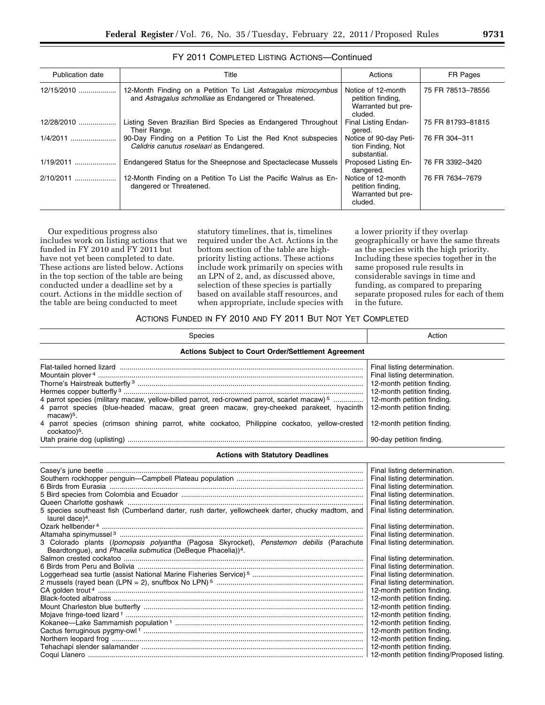| Publication date | Title                                                                                                                   | Actions                                                                  | FR Pages          |
|------------------|-------------------------------------------------------------------------------------------------------------------------|--------------------------------------------------------------------------|-------------------|
| 12/15/2010       | 12-Month Finding on a Petition To List Astragalus microcymbus<br>and Astragalus schmolliae as Endangered or Threatened. | Notice of 12-month<br>petition finding.<br>Warranted but pre-<br>cluded. | 75 FR 78513-78556 |
| 12/28/2010       | Listing Seven Brazilian Bird Species as Endangered Throughout<br>Their Range.                                           | Final Listing Endan-<br>gered.                                           | 75 FR 81793-81815 |
| $1/4/2011$       | 90-Day Finding on a Petition To List the Red Knot subspecies<br>Calidris canutus roselaari as Endangered.               | Notice of 90-day Peti-<br>tion Finding, Not<br>substantial.              | 76 FR 304-311     |
| $1/19/2011$      | Endangered Status for the Sheepnose and Spectaclecase Mussels                                                           | Proposed Listing En-<br>dangered.                                        | 76 FR 3392-3420   |
| 2/10/2011        | 12-Month Finding on a Petition To List the Pacific Walrus as En-<br>dangered or Threatened.                             | Notice of 12-month<br>petition finding.<br>Warranted but pre-<br>cluded. | 76 FR 7634-7679   |

FY 2011 COMPLETED LISTING ACTIONS—Continued

Our expeditious progress also includes work on listing actions that we funded in FY 2010 and FY 2011 but have not yet been completed to date. These actions are listed below. Actions in the top section of the table are being conducted under a deadline set by a court. Actions in the middle section of the table are being conducted to meet

statutory timelines, that is, timelines required under the Act. Actions in the bottom section of the table are highpriority listing actions. These actions include work primarily on species with an LPN of 2, and, as discussed above, selection of these species is partially based on available staff resources, and when appropriate, include species with a lower priority if they overlap geographically or have the same threats as the species with the high priority. Including these species together in the same proposed rule results in considerable savings in time and funding, as compared to preparing separate proposed rules for each of them in the future.

# ACTIONS FUNDED IN FY 2010 AND FY 2011 BUT NOT YET COMPLETED

| Species                                                                                                                                                                                                                                                                                               | Action                                                                                                                                                                                                                                                                                                                                                                                                                                                                                                                 |  |  |  |
|-------------------------------------------------------------------------------------------------------------------------------------------------------------------------------------------------------------------------------------------------------------------------------------------------------|------------------------------------------------------------------------------------------------------------------------------------------------------------------------------------------------------------------------------------------------------------------------------------------------------------------------------------------------------------------------------------------------------------------------------------------------------------------------------------------------------------------------|--|--|--|
| <b>Actions Subject to Court Order/Settlement Agreement</b>                                                                                                                                                                                                                                            |                                                                                                                                                                                                                                                                                                                                                                                                                                                                                                                        |  |  |  |
| 4 parrot species (military macaw, yellow-billed parrot, red-crowned parrot, scarlet macaw) <sup>5</sup><br>4 parrot species (blue-headed macaw, great green macaw, grey-cheeked parakeet, hyacinth<br>macaw) <sup>5</sup> .                                                                           | Final listing determination.<br>Final listing determination.<br>12-month petition finding.<br>12-month petition finding.<br>12-month petition finding.<br>12-month petition finding.                                                                                                                                                                                                                                                                                                                                   |  |  |  |
| 4 parrot species (crimson shining parrot, white cockatoo, Philippine cockatoo, yellow-crested<br>cockatoo) <sup>5</sup> .                                                                                                                                                                             | 12-month petition finding.<br>90-day petition finding.                                                                                                                                                                                                                                                                                                                                                                                                                                                                 |  |  |  |
| <b>Actions with Statutory Deadlines</b>                                                                                                                                                                                                                                                               |                                                                                                                                                                                                                                                                                                                                                                                                                                                                                                                        |  |  |  |
| 5 species southeast fish (Cumberland darter, rush darter, yellowcheek darter, chucky madtom, and<br>laurel dace) <sup>4</sup> .<br>3 Colorado plants (Ipomopsis polyantha (Pagosa Skyrocket), Penstemon debilis (Parachute<br>Beardtongue), and Phacelia submutica (DeBeque Phacelia)) <sup>4</sup> . | Final listing determination.<br>Final listing determination.<br>Final listing determination.<br>Final listing determination.<br>Final listing determination.<br>Final listing determination.<br>Final listing determination.<br>Final listing determination.<br>Final listing determination.<br>Final listing determination.<br>Final listing determination.<br>Final listing determination.<br>Final listing determination.<br>12-month petition finding.<br>12-month petition finding.<br>12-month petition finding. |  |  |  |
|                                                                                                                                                                                                                                                                                                       | 12-month petition finding.<br>12-month petition finding.<br>12-month petition finding.<br>12-month petition finding.<br>12-month petition finding.                                                                                                                                                                                                                                                                                                                                                                     |  |  |  |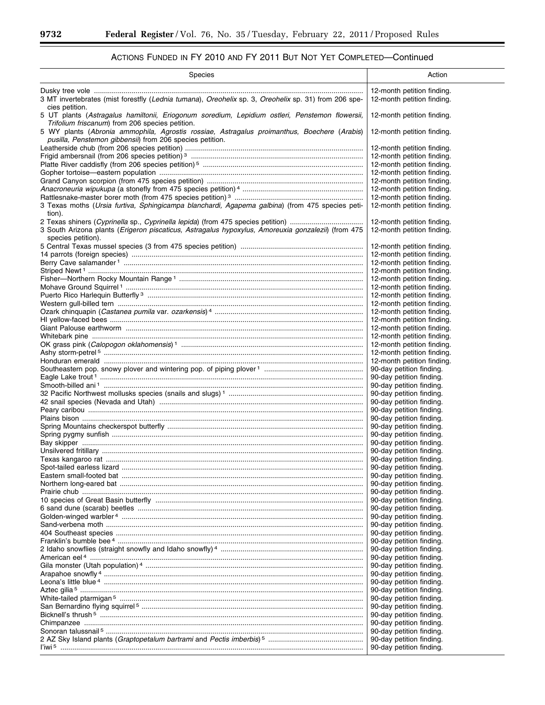# ACTIONS FUNDED IN FY 2010 AND FY 2011 BUT NOT YET COMPLETED—Continued

| Species                                                                                                                                                 | Action                                                   |
|---------------------------------------------------------------------------------------------------------------------------------------------------------|----------------------------------------------------------|
| 3 MT invertebrates (mist forestfly (Lednia tumana), Oreohelix sp. 3, Oreohelix sp. 31) from 206 spe-<br>cies petition.                                  | 12-month petition finding.<br>12-month petition finding. |
| 5 UT plants (Astragalus hamiltonii, Eriogonum soredium, Lepidium ostleri, Penstemon flowersii,<br>Trifolium friscanum) from 206 species petition.       | 12-month petition finding.                               |
| 5 WY plants (Abronia ammophila, Agrostis rossiae, Astragalus proimanthus, Boechere (Arabis)<br>pusilla, Penstemon gibbensii) from 206 species petition. | 12-month petition finding.                               |
|                                                                                                                                                         | 12-month petition finding.                               |
|                                                                                                                                                         | 12-month petition finding.                               |
|                                                                                                                                                         | 12-month petition finding.                               |
|                                                                                                                                                         | 12-month petition finding.                               |
|                                                                                                                                                         | 12-month petition finding.                               |
|                                                                                                                                                         | 12-month petition finding.                               |
| 3 Texas moths (Ursia furtiva, Sphingicampa blanchardi, Agapema galbina) (from 475 species peti-<br>tion).                                               | 12-month petition finding.<br>12-month petition finding. |
|                                                                                                                                                         | 12-month petition finding.                               |
| 3 South Arizona plants (Erigeron piscaticus, Astragalus hypoxylus, Amoreuxia gonzalezii) (from 475<br>species petition).                                | 12-month petition finding.                               |
|                                                                                                                                                         | 12-month petition finding.                               |
|                                                                                                                                                         | 12-month petition finding.                               |
|                                                                                                                                                         | 12-month petition finding.                               |
|                                                                                                                                                         | 12-month petition finding.                               |
|                                                                                                                                                         | 12-month petition finding.                               |
|                                                                                                                                                         | 12-month petition finding.                               |
|                                                                                                                                                         | 12-month petition finding.                               |
|                                                                                                                                                         | 12-month petition finding.                               |
|                                                                                                                                                         | 12-month petition finding.                               |
|                                                                                                                                                         | 12-month petition finding.<br>12-month petition finding. |
|                                                                                                                                                         | 12-month petition finding.                               |
|                                                                                                                                                         | 12-month petition finding.                               |
|                                                                                                                                                         | 12-month petition finding.                               |
|                                                                                                                                                         | 12-month petition finding.                               |
|                                                                                                                                                         | 90-day petition finding.                                 |
|                                                                                                                                                         | 90-day petition finding.                                 |
|                                                                                                                                                         | 90-day petition finding.                                 |
|                                                                                                                                                         | 90-day petition finding.                                 |
|                                                                                                                                                         | 90-day petition finding.                                 |
|                                                                                                                                                         | 90-day petition finding.                                 |
|                                                                                                                                                         | 90-day petition finding.                                 |
|                                                                                                                                                         | 90-day petition finding.<br>90-day petition finding.     |
|                                                                                                                                                         | 90-day petition finding.                                 |
|                                                                                                                                                         | 90-day petition finding.                                 |
|                                                                                                                                                         | 90-day petition finding.                                 |
|                                                                                                                                                         | 90-day petition finding.                                 |
|                                                                                                                                                         | 90-day petition finding.                                 |
|                                                                                                                                                         | 90-day petition finding.                                 |
|                                                                                                                                                         | 90-day petition finding.                                 |
|                                                                                                                                                         | 90-day petition finding.                                 |
|                                                                                                                                                         | 90-day petition finding.                                 |
|                                                                                                                                                         | 90-day petition finding.<br>90-day petition finding.     |
|                                                                                                                                                         | 90-day petition finding.                                 |
|                                                                                                                                                         | 90-day petition finding.                                 |
|                                                                                                                                                         | 90-day petition finding.                                 |
|                                                                                                                                                         | 90-day petition finding.                                 |
|                                                                                                                                                         | 90-day petition finding.                                 |
|                                                                                                                                                         | 90-day petition finding.                                 |
|                                                                                                                                                         | 90-day petition finding.                                 |
|                                                                                                                                                         | 90-day petition finding.                                 |
|                                                                                                                                                         | 90-day petition finding.                                 |
|                                                                                                                                                         | 90-day petition finding.                                 |
|                                                                                                                                                         | 90-day petition finding.                                 |
|                                                                                                                                                         | 90-day petition finding.<br>90-day petition finding.     |
|                                                                                                                                                         | 90-day petition finding.                                 |
|                                                                                                                                                         | 90-day petition finding.                                 |
|                                                                                                                                                         |                                                          |

 $\equiv$